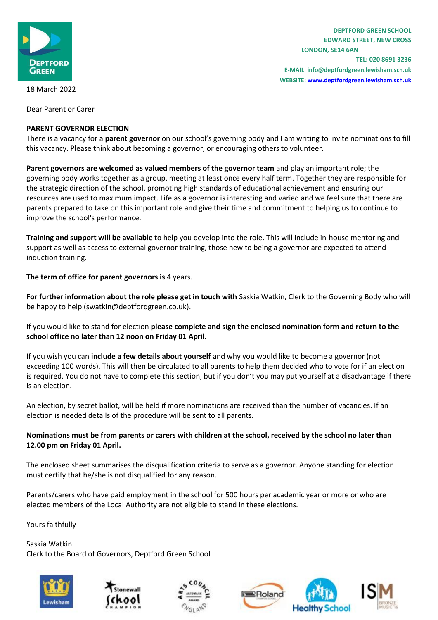

**TEL: 020 8691 3236 E-MAIL**: **info@deptfordgreen.lewisham.sch.uk WEBSITE: www.deptfordgreen.lewisham.sch.uk**

18 March 2022

Dear Parent or Carer

## **PARENT GOVERNOR ELECTION**

There is a vacancy for a **parent governor** on our school's governing body and I am writing to invite nominations to fill this vacancy. Please think about becoming a governor, or encouraging others to volunteer.

**Parent governors are welcomed as valued members of the governor team** and play an important role; the governing body works together as a group, meeting at least once every half term. Together they are responsible for the strategic direction of the school, promoting high standards of educational achievement and ensuring our resources are used to maximum impact. Life as a governor is interesting and varied and we feel sure that there are parents prepared to take on this important role and give their time and commitment to helping us to continue to improve the school's performance.

**Training and support will be available** to help you develop into the role. This will include in-house mentoring and support as well as access to external governor training, those new to being a governor are expected to attend induction training.

**The term of office for parent governors is** 4 years.

**For further information about the role please get in touch with** Saskia Watkin, Clerk to the Governing Body who will be happy to help (swatkin@deptfordgreen.co.uk).

If you would like to stand for election **please complete and sign the enclosed nomination form and return to the school office no later than 12 noon on Friday 01 April.**

If you wish you can **include a few details about yourself** and why you would like to become a governor (not exceeding 100 words). This will then be circulated to all parents to help them decided who to vote for if an election is required. You do not have to complete this section, but if you don't you may put yourself at a disadvantage if there is an election.

An election, by secret ballot, will be held if more nominations are received than the number of vacancies. If an election is needed details of the procedure will be sent to all parents.

# **Nominations must be from parents or carers with children at the school, received by the school no later than 12.00 pm on Friday 01 April.**

The enclosed sheet summarises the disqualification criteria to serve as a governor. Anyone standing for election must certify that he/she is not disqualified for any reason.

Parents/carers who have paid employment in the school for 500 hours per academic year or more or who are elected members of the Local Authority are not eligible to stand in these elections.

Yours faithfully

Saskia Watkin Clerk to the Board of Governors, Deptford Green School







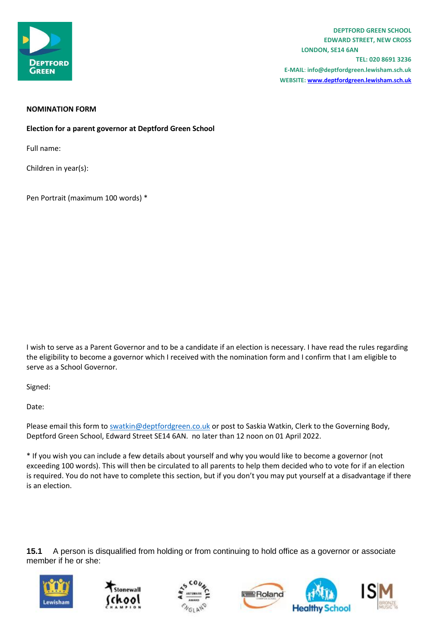

**TEL: 020 8691 3236 E-MAIL**: **info@deptfordgreen.lewisham.sch.uk WEBSITE: www.deptfordgreen.lewisham.sch.uk**

### **NOMINATION FORM**

**Election for a parent governor at Deptford Green School** 

Full name:

Children in year(s):

Pen Portrait (maximum 100 words) \*

I wish to serve as a Parent Governor and to be a candidate if an election is necessary. I have read the rules regarding the eligibility to become a governor which I received with the nomination form and I confirm that I am eligible to serve as a School Governor.

Signed:

Date:

Please email this form to [swatkin@deptfordgreen.co.uk](mailto:swatkin@deptfordgreen.co.uk) or post to Saskia Watkin, Clerk to the Governing Body, Deptford Green School, Edward Street SE14 6AN. no later than 12 noon on 01 April 2022.

\* If you wish you can include a few details about yourself and why you would like to become a governor (not exceeding 100 words). This will then be circulated to all parents to help them decided who to vote for if an election is required. You do not have to complete this section, but if you don't you may put yourself at a disadvantage if there is an election.

**15.1** A person is disqualified from holding or from continuing to hold office as a governor or associate member if he or she: